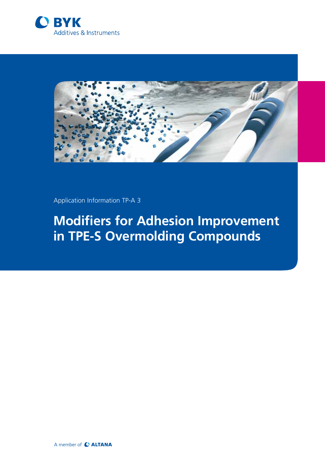



Application Information TP-A 3

# **Modifiers for Adhesion Improvement in TPE-S Overmolding Compounds**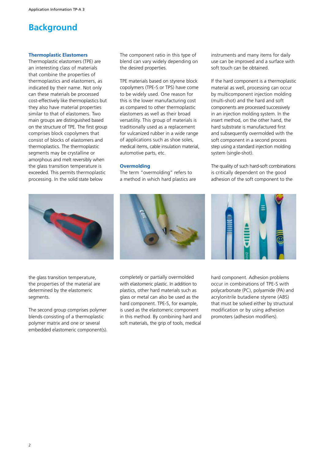## **Background**

#### **Thermoplastic Elastomers**

Thermoplastic elastomers (TPE) are an interesting class of materials that combine the properties of thermoplastics and elastomers, as indicated by their name. Not only can these materials be processed cost-effectively like thermoplastics but they also have material properties similar to that of elastomers. Two main groups are distinguished based on the structure of TPE. The first group comprises block copolymers that consist of blocks of elastomers and thermoplastics. The thermoplastic segments may be crystalline or amorphous and melt reversibly when the glass transition temperature is exceeded. This permits thermoplastic processing. In the solid state below

The component ratio in this type of blend can vary widely depending on the desired properties.

TPE materials based on styrene block copolymers (TPE-S or TPS) have come to be widely used. One reason for this is the lower manufacturing cost as compared to other thermoplastic elastomers as well as their broad versatility. This group of materials is traditionally used as a replacement for vulcanized rubber in a wide range of applications such as shoe soles, medical items, cable insulation material, automotive parts, etc.

#### **Overmolding**

The term "overmolding" refers to a method in which hard plastics are instruments and many items for daily use can be improved and a surface with soft touch can be obtained.

If the hard component is a thermoplastic material as well, processing can occur by multicomponent injection molding (multi-shot) and the hard and soft components are processed successively in an injection molding system. In the insert method, on the other hand, the hard substrate is manufactured first and subsequently overmolded with the soft component in a second process step using a standard injection molding system (single-shot).

The quality of such hard-soft combinations is critically dependent on the good adhesion of the soft component to the



the glass transition temperature, the properties of the material are determined by the elastomeric segments.

The second group comprises polymer blends consisting of a thermoplastic polymer matrix and one or several embedded elastomeric component(s).



completely or partially overmolded with elastomeric plastic. In addition to plastics, other hard materials such as glass or metal can also be used as the hard component. TPE-S, for example, is used as the elastomeric component in this method. By combining hard and soft materials, the grip of tools, medical



hard component. Adhesion problems occur in combinations of TPE-S with polycarbonate (PC), polyamide (PA) and acrylonitrile butadiene styrene (ABS) that must be solved either by structural modification or by using adhesion promoters (adhesion modifiers).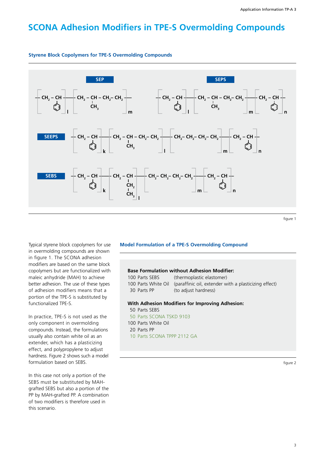# **SCONA Adhesion Modifiers in TPE-S Overmolding Compounds**



#### **Styrene Block Copolymers for TPE-S Overmolding Compounds**

figure 1

Typical styrene block copolymers for use in overmolding compounds are shown in figure 1. The SCONA adhesion modifiers are based on the same block copolymers but are functionalized with maleic anhydride (MAH) to achieve better adhesion. The use of these types of adhesion modifiers means that a portion of the TPE-S is substituted by functionalized TPE-S.

In practice, TPE-S is not used as the only component in overmolding compounds. Instead, the formulations usually also contain white oil as an extender, which has a plasticizing effect, and polypropylene to adjust hardness. Figure 2 shows such a model formulation based on SEBS.

In this case not only a portion of the SEBS must be substituted by MAHgrafted SEBS but also a portion of the PP by MAH-grafted PP. A combination of two modifiers is therefore used in this scenario.

#### **Model Formulation of a TPE-S Overmolding Compound**

#### **Base Formulation without Adhesion Modifier:**

100 Parts SEBS (thermoplastic elastomer)

100 Parts White Oil (paraffinic oil, extender with a plasticizing effect) 30 Parts PP (to adjust hardness)

#### **With Adhesion Modifiers for Improving Adhesion:**

- 50 Parts SEBS 50 Parts SCONA TSKD 9103 100 Parts White Oil 20 Parts PP
- 10 Parts SCONA TPPP 2112 GA

figure 2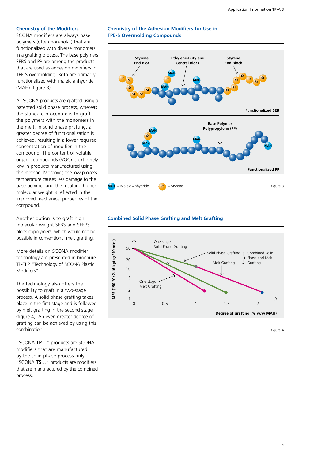#### **Chemistry of the Modifiers**

SCONA modifiers are always base polymers (often non-polar) that are functionalized with diverse monomers in a grafting process. The base polymers SEBS and PP are among the products that are used as adhesion modifiers in TPE-S overmolding. Both are primarily functionalized with maleic anhydride (MAH) (figure 3).

All SCONA products are grafted using a patented solid phase process, whereas the standard procedure is to graft the polymers with the monomers in the melt. In solid phase grafting, a greater degree of functionalization is achieved, resulting in a lower required concentration of modifier in the compound. The content of volatile organic compounds (VOC) is extremely low in products manufactured using this method. Moreover, the low process temperature causes less damage to the base polymer and the resulting higher molecular weight is reflected in the improved mechanical properties of the compound.

Another option is to graft high molecular weight SEBS and SEEPS block copolymers, which would not be possible in conventional melt grafting.

More details on SCONA modifier technology are presented in brochure TP-TI 2 "Technology of SCONA Plastic Modifiers".

The technology also offers the possibility to graft in a two-stage process. A solid phase grafting takes place in the first stage and is followed by melt grafting in the second stage (figure 4). An even greater degree of grafting can be achieved by using this combination.

"SCONA **TP**…" products are SCONA modifiers that are manufactured by the solid phase process only. "SCONA **TS**…" products are modifiers that are manufactured by the combined process.

#### **Chemistry of the Adhesion Modifiers for Use in TPE-S Overmolding Compounds**



#### **Combined Solid Phase Grafting and Melt Grafting**



figure 4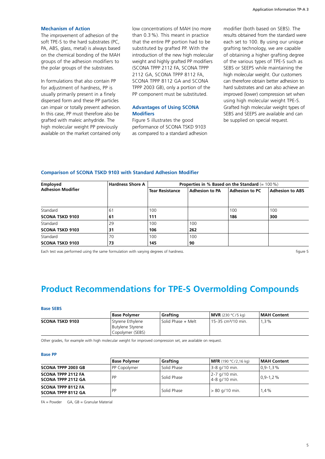#### **Mechanism of Action**

The improvement of adhesion of the soft TPE-S to the hard substrates (PC, PA, ABS, glass, metal) is always based on the chemical bonding of the MAH groups of the adhesion modifiers to the polar groups of the substrates.

In formulations that also contain PP for adjustment of hardness, PP is usually primarily present in a finely dispersed form and these PP particles can impair or totally prevent adhesion. In this case, PP must therefore also be grafted with maleic anhydride. The high molecular weight PP previously available on the market contained only

low concentrations of MAH (no more than 0.3%). This meant in practice that the entire PP portion had to be substituted by grafted PP. With the introduction of the new high molecular weight and highly grafted PP modifiers (SCONA TPPP 2112 FA, SCONA TPPP 2112 GA, SCONA TPPP 8112 FA, SCONA TPPP 8112 GA and SCONA TPPP 2003 GB), only a portion of the PP component must be substituted.

#### **Advantages of Using SCONA Modifiers**

Figure 5 illustrates the good performance of SCONA TSKD 9103 as compared to a standard adhesion

modifier (both based on SEBS). The results obtained from the standard were each set to 100. By using our unique grafting technology, we are capable of obtaining a higher grafting degree of the various types of TPE-S such as SEBS or SEEPS while maintaining the high molecular weight. Our customers can therefore obtain better adhesion to hard substrates and can also achieve an improved (lower) compression set when using high molecular weight TPE-S. Grafted high molecular weight types of SEBS and SEEPS are available and can be supplied on special request.

#### **Comparison of SCONA TSKD 9103 with Standard Adhesion Modifier**

| <b>Employed</b><br><b>Adhesion Modifier</b> | <b>Hardness Shore A</b> | Properties in % Based on the Standard $(= 100\%)$ |                       |                       |                        |  |
|---------------------------------------------|-------------------------|---------------------------------------------------|-----------------------|-----------------------|------------------------|--|
|                                             |                         | <b>Tear Resistance</b>                            | <b>Adhesion to PA</b> | <b>Adhesion to PC</b> | <b>Adhesion to ABS</b> |  |
|                                             |                         |                                                   |                       |                       |                        |  |
| Standard                                    | 61                      | 100                                               |                       | 100                   | 100                    |  |
| <b>SCONA TSKD 9103</b>                      | 61                      | 111                                               |                       | 186                   | 300                    |  |
| Standard                                    | 29                      | 100                                               | 100                   |                       |                        |  |
| <b>SCONA TSKD 9103</b>                      | 31                      | 106                                               | 262                   |                       |                        |  |
| Standard                                    | 70                      | 100                                               | 100                   |                       |                        |  |
| <b>SCONA TSKD 9103</b>                      | 73                      | 145                                               | 90                    |                       |                        |  |

Each test was performed using the same formulation with varying degrees of hardness. Figure 5 and the same figure 5

### **Product Recommendations for TPE-S Overmolding Compounds**

#### **Base SEBS**

|                        | l Base Polvmer                                                  | Grafting             | <b>MVR</b> (230 °C/5 kg)         | <b>IMAH Content</b> |
|------------------------|-----------------------------------------------------------------|----------------------|----------------------------------|---------------------|
| <b>SCONA TSKD 9103</b> | Styrene Ethylene<br><b>Butylene Styrene</b><br>Copolymer (SEBS) | l Solid Phase + Melt | l 15-35 cm <sup>3</sup> /10 min. | $.3\%$              |

Other grades, for example with high molecular weight for improved compression set, are available on request.

#### **Base PP**

|                                                        | <b>Base Polymer</b> | Grafting    | <b>MFR</b> (190 °C/2,16 kg)          | MAH Content    |
|--------------------------------------------------------|---------------------|-------------|--------------------------------------|----------------|
| <b>SCONA TPPP 2003 GB</b>                              | PP Copolymer        | Solid Phase | 3-8 g/10 min.                        | $0.9 - 1.3 \%$ |
| <b>SCONA TPPP 2112 FA</b><br>SCONA TPPP 2112 GA        | <b>PP</b>           | Solid Phase | $2 - 7$ g/10 min.<br>$4-8$ g/10 min. | $0.9 - 1.2 \%$ |
| <b>SCONA TPPP 8112 FA</b><br><b>SCONA TPPP 8112 GA</b> | <b>PP</b>           | Solid Phase | $> 80$ g/10 min.                     | $1.4\%$        |

FA = Powder GA, GB = Granular Material